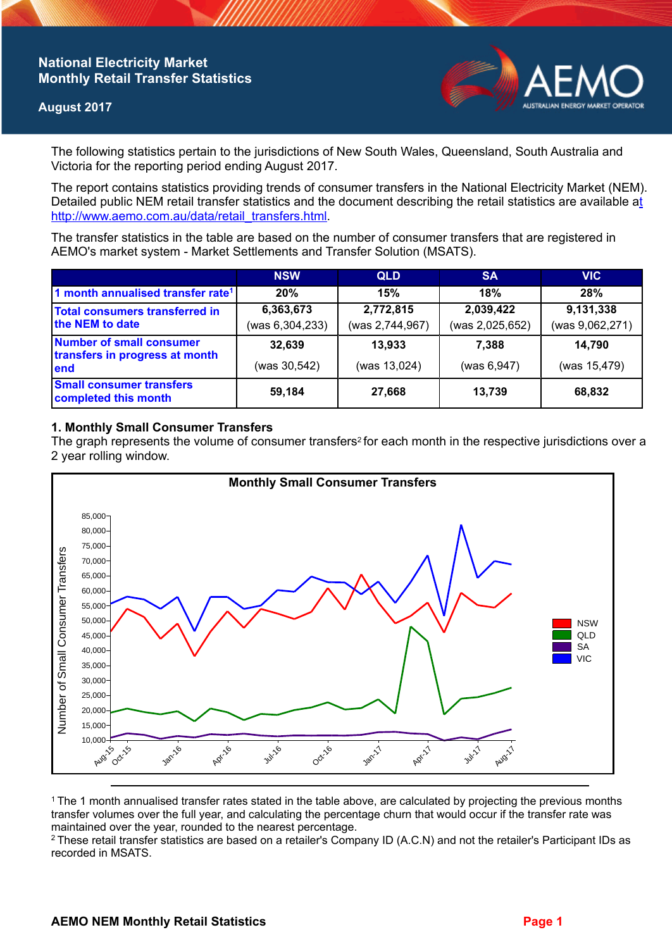# **National Electricity Market Monthly Retail Transfer Statistics**

### **August 2017**



The following statistics pertain to the jurisdictions of New South Wales, Queensland, South Australia and Victoria for the reporting period ending August 2017.

The report contains statistics providing trends of consumer transfers in the National Electricity Market (NEM). Detailed public NEM retail transfer statistics and the document describing the retail statistics are available a[t](http://www.aemo.com.au/data/retail_transfers.html)  http://www.aemo.com.au/data/retail\_transfers.html

The transfer statistics in the table are based on the number of consumer transfers that are registered in AEMO's market system - Market Settlements and Transfer Solution (MSATS).

|                                                                    | <b>NSW</b>      | <b>QLD</b>      | <b>SA</b>       | <b>VIC</b>      |
|--------------------------------------------------------------------|-----------------|-----------------|-----------------|-----------------|
| 1 month annualised transfer rate <sup>1</sup>                      | 20%             | 15%             | 18%             | <b>28%</b>      |
| <b>Total consumers transferred in</b><br>the NEM to date           | 6,363,673       | 2,772,815       | 2,039,422       | 9,131,338       |
|                                                                    | (was 6,304,233) | (was 2,744,967) | (was 2,025,652) | (was 9,062,271) |
| Number of small consumer<br>transfers in progress at month<br>lend | 32,639          | 13,933          | 7.388           | 14,790          |
|                                                                    | (was 30,542)    | (was 13,024)    | (was 6, 947)    | (was 15,479)    |
| <b>Small consumer transfers</b><br>completed this month            | 59,184          | 27,668          | 13,739          | 68,832          |

## **1. Monthly Small Consumer Transfers**

The graph represents the volume of consumer transfers<sup>2</sup> for each month in the respective jurisdictions over a 2 year rolling window.



<sup>1</sup>The 1 month annualised transfer rates stated in the table above, are calculated by projecting the previous months transfer volumes over the full year, and calculating the percentage churn that would occur if the transfer rate was maintained over the year, rounded to the nearest percentage.

<sup>2</sup> These retail transfer statistics are based on a retailer's Company ID (A.C.N) and not the retailer's Participant IDs as recorded in MSATS.